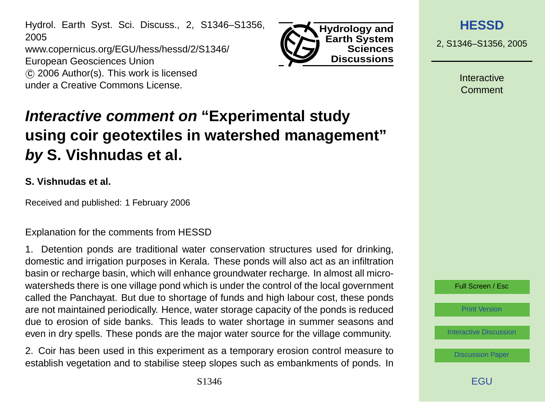Hydrol. Earth Syst. Sci. Discuss., 2, S1346–S1356, 2005 www.copernicus.org/EGU/hess/hessd/2/S1346/ European Geosciences Union c 2006 Author(s). This work is licensed under a Creative Commons License.



**Interactive comment on "Experimental study using coir geotextiles in watershed management" by S. Vishnudas et al.**

#### **S. Vishnudas et al.**

Received and published: 1 February 2006

Explanation for the comments from HESSD

1. Detention ponds are traditional water conservation structures used for drinking, domestic and irrigation purposes in Kerala. These ponds will also act as an infiltration basin or recharge basin, which will enhance groundwater recharge. In almost all microwatersheds there is one village pond which is under the control of the local government called the Panchayat. But due to shortage of funds and high labour cost, these ponds are not maintained periodically. Hence, water storage capacity of the ponds is reduced due to erosion of side banks. This leads to water shortage in summer seasons and even in dry spells. These ponds are the major water source for the village community.

2. Coir has been used in this experiment as a temporary erosion control measure to establish vegetation and to stabilise steep slopes such as embankments of ponds. In 2, S1346–S1356, 2005

**Interactive** Comment



[Print Version](http://www.copernicus.org/EGU/hess/hessd/2/S1346/hessd-2-S1346_p.pdf)

[Interactive Discussion](http://www.copernicus.org/EGU/hess/hessd/2/2327/comments.php)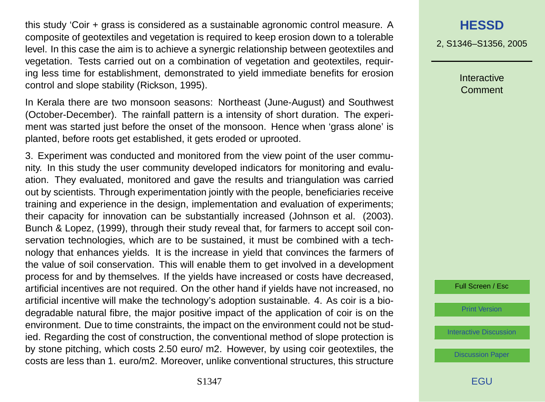this study 'Coir + grass is considered as a sustainable agronomic control measure. A composite of geotextiles and vegetation is required to keep erosion down to a tolerable level. In this case the aim is to achieve a synergic relationship between geotextiles and vegetation. Tests carried out on a combination of vegetation and geotextiles, requiring less time for establishment, demonstrated to yield immediate benefits for erosion control and slope stability (Rickson, 1995).

In Kerala there are two monsoon seasons: Northeast (June-August) and Southwest (October-December). The rainfall pattern is a intensity of short duration. The experiment was started just before the onset of the monsoon. Hence when 'grass alone' is planted, before roots get established, it gets eroded or uprooted.

3. Experiment was conducted and monitored from the view point of the user community. In this study the user community developed indicators for monitoring and evaluation. They evaluated, monitored and gave the results and triangulation was carried out by scientists. Through experimentation jointly with the people, beneficiaries receive training and experience in the design, implementation and evaluation of experiments; their capacity for innovation can be substantially increased (Johnson et al. (2003). Bunch & Lopez, (1999), through their study reveal that, for farmers to accept soil conservation technologies, which are to be sustained, it must be combined with a technology that enhances yields. It is the increase in yield that convinces the farmers of the value of soil conservation. This will enable them to get involved in a development process for and by themselves. If the yields have increased or costs have decreased, artificial incentives are not required. On the other hand if yields have not increased, no artificial incentive will make the technology's adoption sustainable. 4. As coir is a biodegradable natural fibre, the major positive impact of the application of coir is on the environment. Due to time constraints, the impact on the environment could not be studied. Regarding the cost of construction, the conventional method of slope protection is by stone pitching, which costs 2.50 euro/ m2. However, by using coir geotextiles, the costs are less than 1. euro/m2. Moreover, unlike conventional structures, this structure

S1347

2, S1346–S1356, 2005

**Interactive** Comment

Full Screen / Esc

[Print Version](http://www.copernicus.org/EGU/hess/hessd/2/S1346/hessd-2-S1346_p.pdf)

[Interactive Discussion](http://www.copernicus.org/EGU/hess/hessd/2/2327/comments.php)

[Discussion Paper](http://www.copernicus.org/EGU/hess/hessd/2/2327/)

**FGU**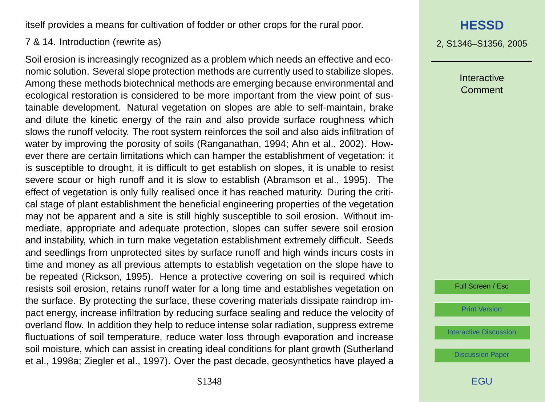itself provides a means for cultivation of fodder or other crops for the rural poor.

#### 7 & 14. Introduction (rewrite as)

Soil erosion is increasingly recognized as a problem which needs an effective and economic solution. Several slope protection methods are currently used to stabilize slopes. Among these methods biotechnical methods are emerging because environmental and ecological restoration is considered to be more important from the view point of sustainable development. Natural vegetation on slopes are able to self-maintain, brake and dilute the kinetic energy of the rain and also provide surface roughness which slows the runoff velocity. The root system reinforces the soil and also aids infiltration of water by improving the porosity of soils (Ranganathan, 1994; Ahn et al., 2002). However there are certain limitations which can hamper the establishment of vegetation: it is susceptible to drought, it is difficult to get establish on slopes, it is unable to resist severe scour or high runoff and it is slow to establish (Abramson et al., 1995). The effect of vegetation is only fully realised once it has reached maturity. During the critical stage of plant establishment the beneficial engineering properties of the vegetation may not be apparent and a site is still highly susceptible to soil erosion. Without immediate, appropriate and adequate protection, slopes can suffer severe soil erosion and instability, which in turn make vegetation establishment extremely difficult. Seeds and seedlings from unprotected sites by surface runoff and high winds incurs costs in time and money as all previous attempts to establish vegetation on the slope have to be repeated (Rickson, 1995). Hence a protective covering on soil is required which resists soil erosion, retains runoff water for a long time and establishes vegetation on the surface. By protecting the surface, these covering materials dissipate raindrop impact energy, increase infiltration by reducing surface sealing and reduce the velocity of overland flow. In addition they help to reduce intense solar radiation, suppress extreme fluctuations of soil temperature, reduce water loss through evaporation and increase soil moisture, which can assist in creating ideal conditions for plant growth (Sutherland et al., 1998a; Ziegler et al., 1997). Over the past decade, geosynthetics have played a

# **[HESSD](http://www.copernicus.org/EGU/hess/hessd.htm)**

2, S1346–S1356, 2005

Interactive Comment

Full Screen / Esc

[Print Version](http://www.copernicus.org/EGU/hess/hessd/2/S1346/hessd-2-S1346_p.pdf)

[Interactive Discussion](http://www.copernicus.org/EGU/hess/hessd/2/2327/comments.php)

[Discussion Paper](http://www.copernicus.org/EGU/hess/hessd/2/2327/)

S1348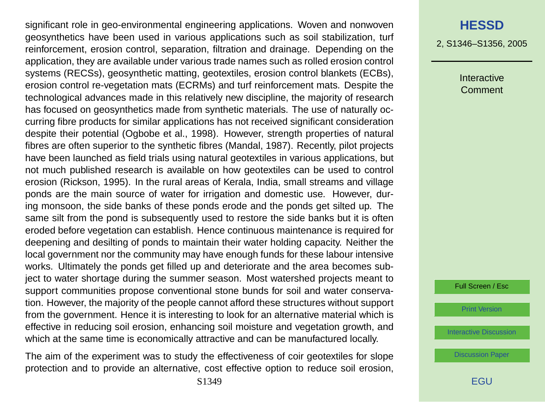significant role in geo-environmental engineering applications. Woven and nonwoven geosynthetics have been used in various applications such as soil stabilization, turf reinforcement, erosion control, separation, filtration and drainage. Depending on the application, they are available under various trade names such as rolled erosion control systems (RECSs), geosynthetic matting, geotextiles, erosion control blankets (ECBs), erosion control re-vegetation mats (ECRMs) and turf reinforcement mats. Despite the technological advances made in this relatively new discipline, the majority of research has focused on geosynthetics made from synthetic materials. The use of naturally occurring fibre products for similar applications has not received significant consideration despite their potential (Ogbobe et al., 1998). However, strength properties of natural fibres are often superior to the synthetic fibres (Mandal, 1987). Recently, pilot projects have been launched as field trials using natural geotextiles in various applications, but not much published research is available on how geotextiles can be used to control erosion (Rickson, 1995). In the rural areas of Kerala, India, small streams and village ponds are the main source of water for irrigation and domestic use. However, during monsoon, the side banks of these ponds erode and the ponds get silted up. The same silt from the pond is subsequently used to restore the side banks but it is often eroded before vegetation can establish. Hence continuous maintenance is required for deepening and desilting of ponds to maintain their water holding capacity. Neither the local government nor the community may have enough funds for these labour intensive works. Ultimately the ponds get filled up and deteriorate and the area becomes subject to water shortage during the summer season. Most watershed projects meant to support communities propose conventional stone bunds for soil and water conservation. However, the majority of the people cannot afford these structures without support from the government. Hence it is interesting to look for an alternative material which is effective in reducing soil erosion, enhancing soil moisture and vegetation growth, and which at the same time is economically attractive and can be manufactured locally.

The aim of the experiment was to study the effectiveness of coir geotextiles for slope protection and to provide an alternative, cost effective option to reduce soil erosion, 2, S1346–S1356, 2005

Interactive Comment

Full Screen / Esc

[Print Version](http://www.copernicus.org/EGU/hess/hessd/2/S1346/hessd-2-S1346_p.pdf)

[Interactive Discussion](http://www.copernicus.org/EGU/hess/hessd/2/2327/comments.php)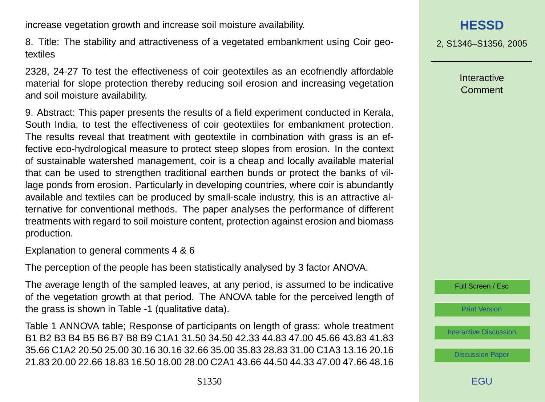increase vegetation growth and increase soil moisture availability.

8. Title: The stability and attractiveness of a vegetated embankment using Coir geotextiles

2328, 24-27 To test the effectiveness of coir geotextiles as an ecofriendly affordable material for slope protection thereby reducing soil erosion and increasing vegetation and soil moisture availability.

9. Abstract: This paper presents the results of a field experiment conducted in Kerala, South India, to test the effectiveness of coir geotextiles for embankment protection. The results reveal that treatment with geotextile in combination with grass is an effective eco-hydrological measure to protect steep slopes from erosion. In the context of sustainable watershed management, coir is a cheap and locally available material that can be used to strengthen traditional earthen bunds or protect the banks of village ponds from erosion. Particularly in developing countries, where coir is abundantly available and textiles can be produced by small-scale industry, this is an attractive alternative for conventional methods. The paper analyses the performance of different treatments with regard to soil moisture content, protection against erosion and biomass production.

Explanation to general comments 4 & 6

The perception of the people has been statistically analysed by 3 factor ANOVA.

The average length of the sampled leaves, at any period, is assumed to be indicative of the vegetation growth at that period. The ANOVA table for the perceived length of the grass is shown in Table -1 (qualitative data).

Table 1 ANNOVA table; Response of participants on length of grass: whole treatment B1 B2 B3 B4 B5 B6 B7 B8 B9 C1A1 31.50 34.50 42.33 44.83 47.00 45.66 43.83 41.83 35.66 C1A2 20.50 25.00 30.16 30.16 32.66 35.00 35.83 28.83 31.00 C1A3 13.16 20.16 21.83 20.00 22.66 18.83 16.50 18.00 28.00 C2A1 43.66 44.50 44.33 47.00 47.66 48.16

2, S1346–S1356, 2005

Interactive Comment



[Print Version](http://www.copernicus.org/EGU/hess/hessd/2/S1346/hessd-2-S1346_p.pdf)

[Interactive Discussion](http://www.copernicus.org/EGU/hess/hessd/2/2327/comments.php)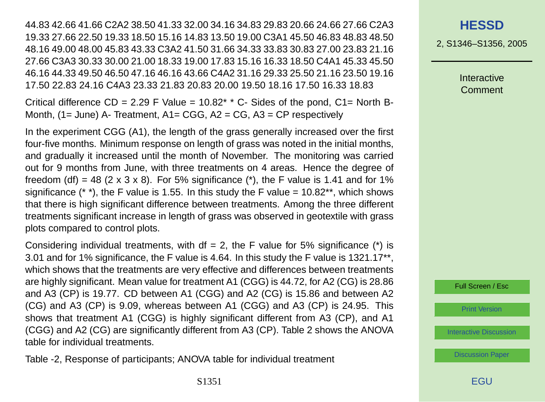44.83 42.66 41.66 C2A2 38.50 41.33 32.00 34.16 34.83 29.83 20.66 24.66 27.66 C2A3 19.33 27.66 22.50 19.33 18.50 15.16 14.83 13.50 19.00 C3A1 45.50 46.83 48.83 48.50 48.16 49.00 48.00 45.83 43.33 C3A2 41.50 31.66 34.33 33.83 30.83 27.00 23.83 21.16 27.66 C3A3 30.33 30.00 21.00 18.33 19.00 17.83 15.16 16.33 18.50 C4A1 45.33 45.50 46.16 44.33 49.50 46.50 47.16 46.16 43.66 C4A2 31.16 29.33 25.50 21.16 23.50 19.16 17.50 22.83 24.16 C4A3 23.33 21.83 20.83 20.00 19.50 18.16 17.50 16.33 18.83

Critical difference  $CD = 2.29$  F Value =  $10.82^*$  \* C- Sides of the pond,  $C1 =$  North B-Month, (1= June) A- Treatment, A1= CGG, A2 = CG, A3 = CP respectively

In the experiment CGG (A1), the length of the grass generally increased over the first four-five months. Minimum response on length of grass was noted in the initial months, and gradually it increased until the month of November. The monitoring was carried out for 9 months from June, with three treatments on 4 areas. Hence the degree of freedom (df) = 48 (2 x 3 x 8). For 5% significance (\*), the F value is 1.41 and for 1% significance (\* \*), the F value is 1.55. In this study the F value =  $10.82$ \*\*, which shows that there is high significant difference between treatments. Among the three different treatments significant increase in length of grass was observed in geotextile with grass plots compared to control plots.

Considering individual treatments, with  $df = 2$ , the F value for 5% significance (\*) is 3.01 and for 1% significance, the F value is 4.64. In this study the F value is 1321.17\*\*, which shows that the treatments are very effective and differences between treatments are highly significant. Mean value for treatment A1 (CGG) is 44.72, for A2 (CG) is 28.86 and A3 (CP) is 19.77. CD between A1 (CGG) and A2 (CG) is 15.86 and between A2 (CG) and A3 (CP) is 9.09, whereas between A1 (CGG) and A3 (CP) is 24.95. This shows that treatment A1 (CGG) is highly significant different from A3 (CP), and A1 (CGG) and A2 (CG) are significantly different from A3 (CP). Table 2 shows the ANOVA table for individual treatments.

Table -2, Response of participants; ANOVA table for individual treatment

### **[HESSD](http://www.copernicus.org/EGU/hess/hessd.htm)**

2, S1346–S1356, 2005

**Interactive** Comment

Full Screen / Esc

[Print Version](http://www.copernicus.org/EGU/hess/hessd/2/S1346/hessd-2-S1346_p.pdf)

[Interactive Discussion](http://www.copernicus.org/EGU/hess/hessd/2/2327/comments.php)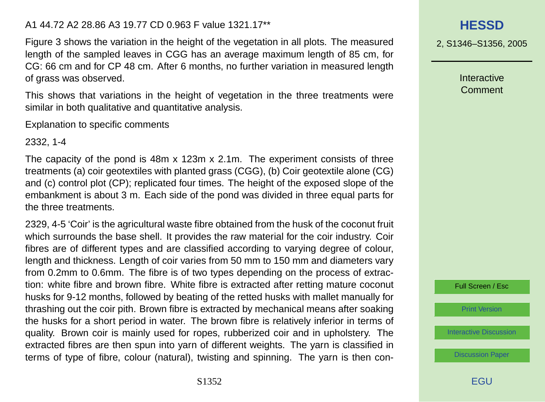#### A1 44.72 A2 28.86 A3 19.77 CD 0.963 F value 1321.17\*\*

Figure 3 shows the variation in the height of the vegetation in all plots. The measured length of the sampled leaves in CGG has an average maximum length of 85 cm, for CG: 66 cm and for CP 48 cm. After 6 months, no further variation in measured length of grass was observed.

This shows that variations in the height of vegetation in the three treatments were similar in both qualitative and quantitative analysis.

Explanation to specific comments

2332, 1-4

The capacity of the pond is 48m x 123m x 2.1m. The experiment consists of three treatments (a) coir geotextiles with planted grass (CGG), (b) Coir geotextile alone (CG) and (c) control plot (CP); replicated four times. The height of the exposed slope of the embankment is about 3 m. Each side of the pond was divided in three equal parts for the three treatments.

2329, 4-5 'Coir' is the agricultural waste fibre obtained from the husk of the coconut fruit which surrounds the base shell. It provides the raw material for the coir industry. Coir fibres are of different types and are classified according to varying degree of colour, length and thickness. Length of coir varies from 50 mm to 150 mm and diameters vary from 0.2mm to 0.6mm. The fibre is of two types depending on the process of extraction: white fibre and brown fibre. White fibre is extracted after retting mature coconut husks for 9-12 months, followed by beating of the retted husks with mallet manually for thrashing out the coir pith. Brown fibre is extracted by mechanical means after soaking the husks for a short period in water. The brown fibre is relatively inferior in terms of quality. Brown coir is mainly used for ropes, rubberized coir and in upholstery. The extracted fibres are then spun into yarn of different weights. The yarn is classified in terms of type of fibre, colour (natural), twisting and spinning. The yarn is then con-



2, S1346–S1356, 2005

**Interactive** Comment



[Print Version](http://www.copernicus.org/EGU/hess/hessd/2/S1346/hessd-2-S1346_p.pdf)

[Interactive Discussion](http://www.copernicus.org/EGU/hess/hessd/2/2327/comments.php)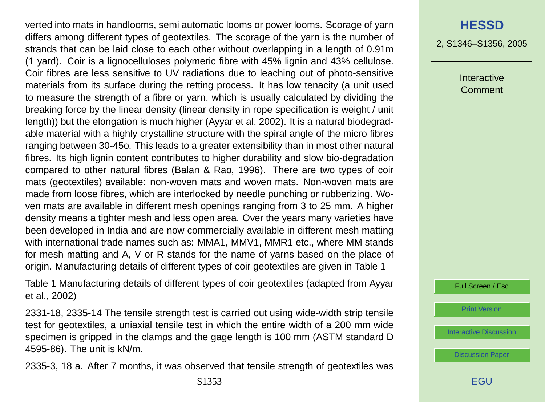verted into mats in handlooms, semi automatic looms or power looms. Scorage of yarn differs among different types of geotextiles. The scorage of the yarn is the number of strands that can be laid close to each other without overlapping in a length of 0.91m (1 yard). Coir is a lignocelluloses polymeric fibre with 45% lignin and 43% cellulose. Coir fibres are less sensitive to UV radiations due to leaching out of photo-sensitive materials from its surface during the retting process. It has low tenacity (a unit used to measure the strength of a fibre or yarn, which is usually calculated by dividing the breaking force by the linear density (linear density in rope specification is weight / unit length)) but the elongation is much higher (Ayyar et al, 2002). It is a natural biodegradable material with a highly crystalline structure with the spiral angle of the micro fibres ranging between 30-45o. This leads to a greater extensibility than in most other natural fibres. Its high lignin content contributes to higher durability and slow bio-degradation compared to other natural fibres (Balan & Rao, 1996). There are two types of coir mats (geotextiles) available: non-woven mats and woven mats. Non-woven mats are made from loose fibres, which are interlocked by needle punching or rubberizing. Woven mats are available in different mesh openings ranging from 3 to 25 mm. A higher density means a tighter mesh and less open area. Over the years many varieties have been developed in India and are now commercially available in different mesh matting with international trade names such as: MMA1, MMV1, MMR1 etc., where MM stands for mesh matting and A, V or R stands for the name of yarns based on the place of origin. Manufacturing details of different types of coir geotextiles are given in Table 1

Table 1 Manufacturing details of different types of coir geotextiles (adapted from Ayyar et al., 2002)

2331-18, 2335-14 The tensile strength test is carried out using wide-width strip tensile test for geotextiles, a uniaxial tensile test in which the entire width of a 200 mm wide specimen is gripped in the clamps and the gage length is 100 mm (ASTM standard D 4595-86). The unit is kN/m.

2335-3, 18 a. After 7 months, it was observed that tensile strength of geotextiles was

### **[HESSD](http://www.copernicus.org/EGU/hess/hessd.htm)**

2, S1346–S1356, 2005

Interactive Comment

Full Screen / Esc

[Print Version](http://www.copernicus.org/EGU/hess/hessd/2/S1346/hessd-2-S1346_p.pdf)

[Interactive Discussion](http://www.copernicus.org/EGU/hess/hessd/2/2327/comments.php)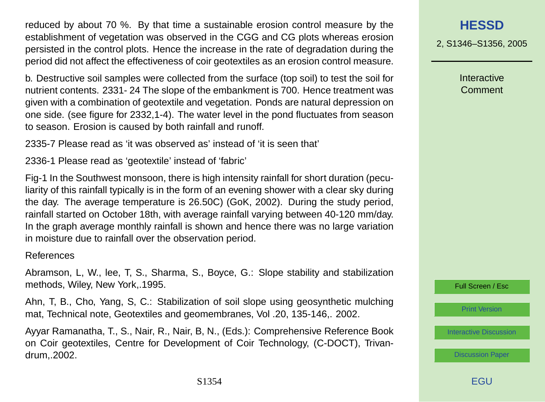reduced by about 70 %. By that time a sustainable erosion control measure by the establishment of vegetation was observed in the CGG and CG plots whereas erosion persisted in the control plots. Hence the increase in the rate of degradation during the period did not affect the effectiveness of coir geotextiles as an erosion control measure.

b. Destructive soil samples were collected from the surface (top soil) to test the soil for nutrient contents. 2331- 24 The slope of the embankment is 700. Hence treatment was given with a combination of geotextile and vegetation. Ponds are natural depression on one side. (see figure for 2332,1-4). The water level in the pond fluctuates from season to season. Erosion is caused by both rainfall and runoff.

2335-7 Please read as 'it was observed as' instead of 'it is seen that'

2336-1 Please read as 'geotextile' instead of 'fabric'

Fig-1 In the Southwest monsoon, there is high intensity rainfall for short duration (peculiarity of this rainfall typically is in the form of an evening shower with a clear sky during the day. The average temperature is 26.50C) (GoK, 2002). During the study period, rainfall started on October 18th, with average rainfall varying between 40-120 mm/day. In the graph average monthly rainfall is shown and hence there was no large variation in moisture due to rainfall over the observation period.

#### References

Abramson, L, W., lee, T, S., Sharma, S., Boyce, G.: Slope stability and stabilization methods, Wiley, New York,.1995.

Ahn, T, B., Cho, Yang, S, C.: Stabilization of soil slope using geosynthetic mulching mat, Technical note, Geotextiles and geomembranes, Vol .20, 135-146,. 2002.

Ayyar Ramanatha, T., S., Nair, R., Nair, B, N., (Eds.): Comprehensive Reference Book on Coir geotextiles, Centre for Development of Coir Technology, (C-DOCT), Trivandrum,.2002.

## **[HESSD](http://www.copernicus.org/EGU/hess/hessd.htm)**

2, S1346–S1356, 2005

**Interactive** Comment

Full Screen / Esc

[Print Version](http://www.copernicus.org/EGU/hess/hessd/2/S1346/hessd-2-S1346_p.pdf)

[Interactive Discussion](http://www.copernicus.org/EGU/hess/hessd/2/2327/comments.php)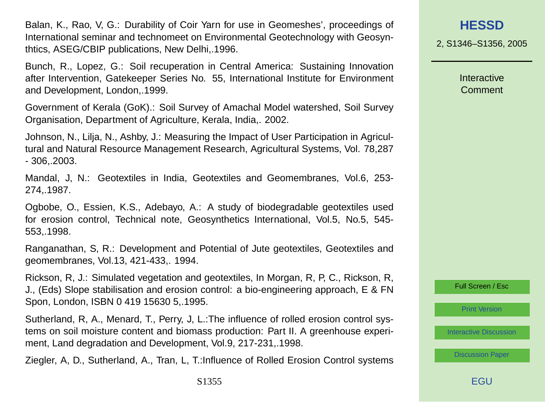Balan, K., Rao, V, G.: Durability of Coir Yarn for use in Geomeshes', proceedings of International seminar and technomeet on Environmental Geotechnology with Geosynthtics, ASEG/CBIP publications, New Delhi,.1996.

Bunch, R., Lopez, G.: Soil recuperation in Central America: Sustaining Innovation after Intervention, Gatekeeper Series No. 55, International Institute for Environment and Development, London,.1999.

Government of Kerala (GoK).: Soil Survey of Amachal Model watershed, Soil Survey Organisation, Department of Agriculture, Kerala, India,. 2002.

Johnson, N., Lilja, N., Ashby, J.: Measuring the Impact of User Participation in Agricultural and Natural Resource Management Research, Agricultural Systems, Vol. 78,287 - 306,.2003.

Mandal, J, N.: Geotextiles in India, Geotextiles and Geomembranes, Vol.6, 253- 274,.1987.

Ogbobe, O., Essien, K.S., Adebayo, A.: A study of biodegradable geotextiles used for erosion control, Technical note, Geosynthetics International, Vol.5, No.5, 545- 553,.1998.

Ranganathan, S, R.: Development and Potential of Jute geotextiles, Geotextiles and geomembranes, Vol.13, 421-433,. 1994.

Rickson, R, J.: Simulated vegetation and geotextiles, In Morgan, R, P, C., Rickson, R, J., (Eds) Slope stabilisation and erosion control: a bio-engineering approach, E & FN Spon, London, ISBN 0 419 15630 5,.1995.

Sutherland, R, A., Menard, T., Perry, J, L.:The influence of rolled erosion control systems on soil moisture content and biomass production: Part II. A greenhouse experiment, Land degradation and Development, Vol.9, 217-231,.1998.

Ziegler, A, D., Sutherland, A., Tran, L, T.:Influence of Rolled Erosion Control systems

2, S1346–S1356, 2005

**Interactive** Comment

Full Screen / Esc

[Print Version](http://www.copernicus.org/EGU/hess/hessd/2/S1346/hessd-2-S1346_p.pdf)

[Interactive Discussion](http://www.copernicus.org/EGU/hess/hessd/2/2327/comments.php)

[Discussion Paper](http://www.copernicus.org/EGU/hess/hessd/2/2327/)

**FGU**